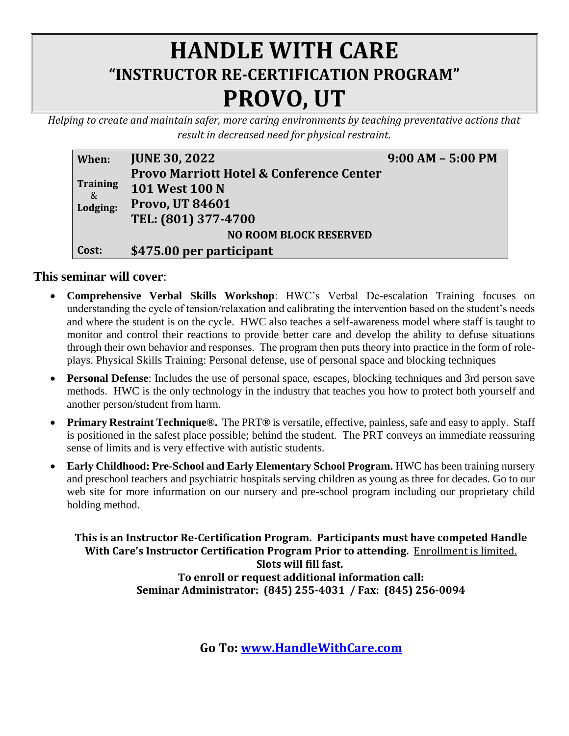## **HANDLE WITH CARE "INSTRUCTOR RE-CERTIFICATION PROGRAM" PROVO, UT**

*Helping to create and maintain safer, more caring environments by teaching preventative actions that result in decreased need for physical restraint.*

| When:                         | <b>JUNE 30, 2022</b>                                | $9:00$ AM $-$ 5:00 PM |  |  |  |
|-------------------------------|-----------------------------------------------------|-----------------------|--|--|--|
|                               | <b>Provo Marriott Hotel &amp; Conference Center</b> |                       |  |  |  |
| <b>Training</b><br>&          | <b>101 West 100 N</b>                               |                       |  |  |  |
| Lodging:                      | <b>Provo, UT 84601</b>                              |                       |  |  |  |
|                               | TEL: (801) 377-4700                                 |                       |  |  |  |
| <b>NO ROOM BLOCK RESERVED</b> |                                                     |                       |  |  |  |
| Cost:                         | \$475.00 per participant                            |                       |  |  |  |

## **This seminar will cover**:

- **Comprehensive Verbal Skills Workshop**: HWC's Verbal De-escalation Training focuses on understanding the cycle of tension/relaxation and calibrating the intervention based on the student's needs and where the student is on the cycle. HWC also teaches a self-awareness model where staff is taught to monitor and control their reactions to provide better care and develop the ability to defuse situations through their own behavior and responses. The program then puts theory into practice in the form of roleplays. Physical Skills Training: Personal defense, use of personal space and blocking techniques
- **Personal Defense**: Includes the use of personal space, escapes, blocking techniques and 3rd person save methods. HWC is the only technology in the industry that teaches you how to protect both yourself and another person/student from harm.
- **Primary Restraint Technique®.** The PRT**®** is versatile, effective, painless, safe and easy to apply. Staff is positioned in the safest place possible; behind the student. The PRT conveys an immediate reassuring sense of limits and is very effective with autistic students.
- **Early Childhood: Pre-School and Early Elementary School Program.** HWC has been training nursery and preschool teachers and psychiatric hospitals serving children as young as three for decades. Go to our web site for more information on our nursery and pre-school program including our proprietary child holding method.

**This is an Instructor Re-Certification Program. Participants must have competed Handle With Care's Instructor Certification Program Prior to attending.** Enrollment is limited. **Slots will fill fast. To enroll or request additional information call: Seminar Administrator: (845) 255-4031 / Fax: (845) 256-0094**

**Go To: [www.HandleWithCare.com](http://www.handlewithcare.com/)**